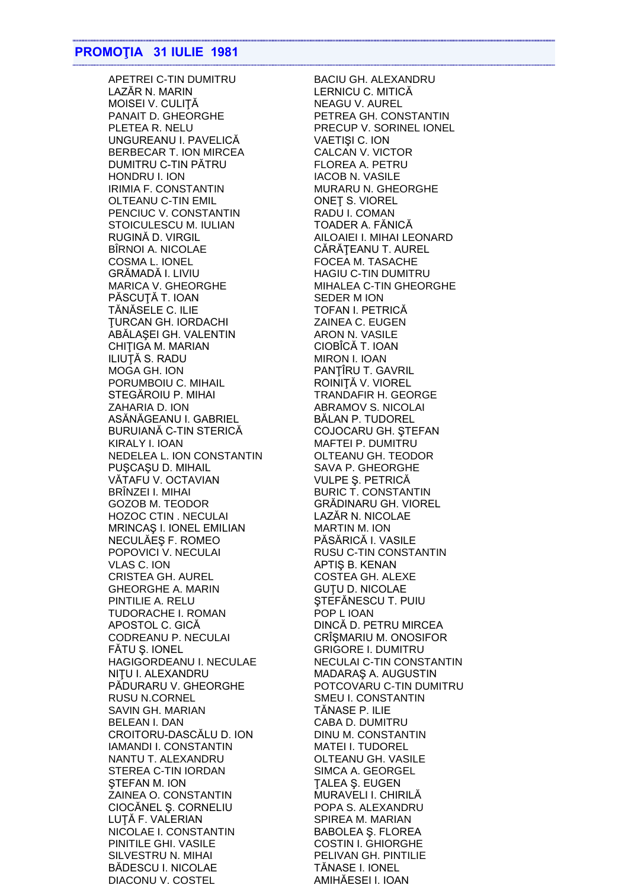APETREI C-TIN DUMITRU LAZĂR N. MARIN MOISEI V. CULITĂ PANAIT D. GHEORGHE PLETEA R. NELU UNGUREANU I. PAVELICĂ BERBECAR T. ION MIRCEA DUMITRU C-TIN PĂTRU HONDRU I. ION IRIMIA F. CONSTANTIN **OLTEANU C-TIN EMIL** PENCIUC V. CONSTANTIN STOICULESCU M. IULIAN RUGINĂ D. VIRGIL BÎRNOI A. NICOLAE COSMA L. IONEL GRĂMADĂ I. LIVIU **MARICA V. GHEORGHE** PÁSCUTÁ T. IOAN TĂNĂSELE C. ILIE **TURCAN GH. IORDACHI** ABALAŞEI GH. VALENTIN CHITIGA M. MARIAN ILIUȚĂ S. RADU MOGA GH. ION PORUMBOIU C. MIHAIL STEGĂROIU P. MIHAI ZAHARIA D. ION ASĂNĂGEANU I. GABRIEL BURUIANĂ C-TIN STERICĂ KIRALY I. IOAN NEDELEA L. ION CONSTANTIN PUSCASU D. MIHAIL VĂTAFU V. OCTAVIAN BRÎNZEI I. MIHAI **GOZOB M. TEODOR HOZOC CTIN. NECULAI** MRINCAS I. IONEL EMILIAN NECULĂES F. ROMEO POPOVICI V. NECULAI **VLAS C. ION CRISTEA GH. AUREL GHEORGHE A. MARIN** PINTILIE A. RELU **TUDORACHE I. ROMAN** APOSTOL C. GICĂ CODREANU P. NECULAI FĂTU Ș. IONEL HAGIGORDEANU I. NECULAE NITU I. ALEXANDRU PĂDURARU V. GHEORGHE **RUSU N.CORNEL SAVIN GH. MARIAN BELEAN I. DAN** CROITORU-DASCĂLU D. ION **IAMANDI I. CONSTANTIN** NANTU T. ALEXANDRU STEREA C-TIN IORDAN STEFAN M. ION **ZAINEA O. CONSTANTIN** CIOCĂNEL Ș. CORNELIU LUTĂ F. VALERIAN NICOLAE I. CONSTANTIN PINITILE GHI. VASILE SILVESTRU N. MIHAI **BĂDESCU I. NICOLAE** DIACONU V. COSTEL

**BACIU GH. ALEXANDRU** LERNICU C. MITICĂ **NEAGU V. AUREL** PETREA GH. CONSTANTIN PRECUP V. SORINEL IONEL VAETIȘI C. ION CALCAN V. VICTOR **FLOREA A. PETRU IACOB N. VASILE** MURARU N. GHEORGHE **ONET S. VIOREL** RADU I. COMAN TOADER A. FĂNICĂ AILOAIEI I. MIHAI LEONARD CĂRĂȚEANU T. AUREL FOCEA M. TASACHE **HAGIU C-TIN DUMITRU** MIHALEA C-TIN GHEORGHE **SEDER M ION** TOFAN I. PETRICĂ ZAINEA C. EUGEN ARON N. VASILE CIOBÎCĂ T. IOAN **MIRON I. IOAN** PANTIRU T. GAVRIL ROINIȚĂ V. VIOREL **TRANDAFIR H. GEORGE ABRAMOV S. NICOLAI** BĂLAN P. TUDOREL COJOCARU GH. ȘTEFAN MAFTEI P. DUMITRU OLTEANU GH. TEODOR SAVA P. GHEORGHE **VULPE Ș. PETRICĂ BURIC T. CONSTANTIN** GRĂDINARU GH. VIOREL LAZĂR N. NICOLAE **MARTIN M. ION** PĂSĂRICĂ I. VASILE RUSU C-TIN CONSTANTIN APTIS B. KENAN **COSTEA GH. ALEXE GUTU D. NICOLAE** STEFĂNESCU T. PUIU POP L IOAN DINCĂ D. PETRU MIRCEA CRÎŞMARIU M. ONOSIFOR **GRIGORE I. DUMITRU** NECULAI C-TIN CONSTANTIN MADARAŞ A. AUGUSTIN POTCOVARU C-TIN DUMITRU SMEU I. CONSTANTIN TĂNASE P. ILIE CABA D. DUMITRU **DINU M. CONSTANTIN MATEI I. TUDOREL OLTEANU GH. VASILE** SIMCA A. GEORGEL **TALEA S. EUGEN** MURAVELI I. CHIRILĂ POPA S. ALEXANDRU SPIREA M. MARIAN **BABOLEA S. FLOREA COSTIN I. GHIORGHE** PELIVAN GH. PINTILIE **TĂNASE I. IONEL** AMIHĂESEI I. IOAN